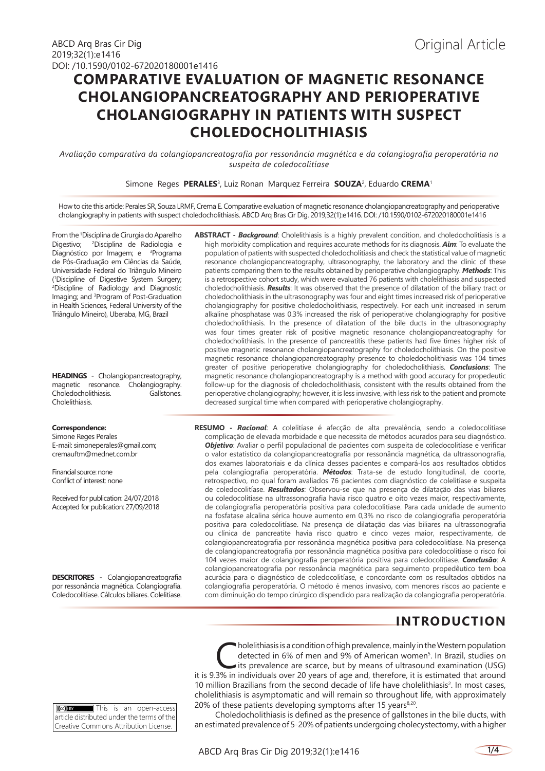# **COMPARATIVE EVALUATION OF MAGNETIC RESONANCE CHOLANGIOPANCREATOGRAPHY AND PERIOPERATIVE CHOLANGIOGRAPHY IN PATIENTS WITH SUSPECT CHOLEDOCHOLITHIASIS**

*Avaliação comparativa da colangiopancreatografia por ressonância magnética e da colangiografia peroperatória na suspeita de coledocolitíase*

Simone Reges **PERALES**<sup>3</sup> , Luiz Ronan Marquez Ferreira **SOUZA**<sup>2</sup> , Eduardo **CREMA**<sup>1</sup>

How to cite this article: Perales SR, Souza LRMF, Crema E. Comparative evaluation of magnetic resonance cholangiopancreatography and perioperative cholangiography in patients with suspect choledocholithiasis. ABCD Arq Bras Cir Dig. 2019;32(1):e1416. DOI: /10.1590/0102-672020180001e1416

From the 1 Disciplina de Cirurgia do Aparelho Digestivo; <sup>2</sup> Disciplina de Radiologia e Diagnóstico por Imagem; e <sup>3</sup>Programa de Pós-Graduação em Ciências da Saúde, Universidade Federal do Triângulo Mineiro ( 1 Discipline of Digestive System Surgery; 2 Discipline of Radiology and Diagnostic Imaging; and 3 Program of Post-Graduation in Health Sciences, Federal University of the Triângulo Mineiro), Uberaba, MG, Brazil

**HEADINGS** - Cholangiopancreatography, magnetic resonance. Cholangiography. Choledocholithiasis. Gallstones. Cholelithiasis.

#### **Correspondence:**

Simone Reges Perales E-mail: simoneperales@gmail.com; cremauftm@mednet.com.br

Financial source: none Conflict of interest: none

Received for publication: 24/07/2018 Accepted for publication: 27/09/2018

**DESCRITORES -** Colangiopancreatografia por ressonância magnética. Colangiografia. Coledocolitíase. Cálculos biliares. Colelitíase. **ABSTRACT -** *Background*: Cholelithiasis is a highly prevalent condition, and choledocholitiasis is a high morbidity complication and requires accurate methods for its diagnosis. *Aim*: To evaluate the population of patients with suspected choledocholitiasis and check the statistical value of magnetic resonance cholangiopancreatography, ultrasonography, the laboratory and the clinic of these patients comparing them to the results obtained by perioperative cholangiography. *Methods*: This is a retrospective cohort study, which were evaluated 76 patients with cholelithiasis and suspected choledocholithiasis. *Results*: It was observed that the presence of dilatation of the biliary tract or choledocholithiasis in the ultrasonography was four and eight times increased risk of perioperative cholangiography for positive choledocholithiasis, respectively. For each unit increased in serum alkaline phosphatase was 0.3% increased the risk of perioperative cholangiography for positive choledocholithiasis. In the presence of dilatation of the bile ducts in the ultrasonography was four times greater risk of positive magnetic resonance cholangiopancreatography for choledocholithiasis. In the presence of pancreatitis these patients had five times higher risk of positive magnetic resonance cholangiopancreatography for choledocholithiasis. On the positive magnetic resonance cholangiopancreatography presence to choledocholithiasis was 104 times greater of positive perioperative cholangiography for choledocholithiasis. *Conclusions*: The magnetic resonance cholangiopancreatography is a method with good accuracy for propedeutic follow-up for the diagnosis of choledocholithiasis, consistent with the results obtained from the perioperative cholangiography; however, it is less invasive, with less risk to the patient and promote decreased surgical time when compared with perioperative cholangiography.

**RESUMO -** *Racional*: A colelitíase é afecção de alta prevalência, sendo a coledocolitíase complicação de elevada morbidade e que necessita de métodos acurados para seu diagnóstico. *Objetivo*: Avaliar o perfil populacional de pacientes com suspeita de coledocolitíase e verificar o valor estatístico da colangiopancreatografia por ressonância magnética, da ultrassonografia, dos exames laboratoriais e da clínica desses pacientes e compará-los aos resultados obtidos pela colangiografia peroperatória. *Métodos*: Trata-se de estudo longitudinal, de coorte, retrospectivo, no qual foram avaliados 76 pacientes com diagnóstico de colelitíase e suspeita de coledocolitíase. *Resultados*: Observou-se que na presença de dilatação das vias biliares ou coledocolitíase na ultrassonografia havia risco quatro e oito vezes maior, respectivamente, de colangiografia peroperatória positiva para coledocolitíase. Para cada unidade de aumento na fosfatase alcalina sérica houve aumento em 0,3% no risco de colangiografia peroperatória positiva para coledocolitíase. Na presença de dilatação das vias biliares na ultrassonografia ou clínica de pancreatite havia risco quatro e cinco vezes maior, respectivamente, de colangiopancreatografia por ressonância magnética positiva para coledocolitíase. Na presença de colangiopancreatografia por ressonância magnética positiva para coledocolitíase o risco foi 104 vezes maior de colangiografia peroperatória positiva para coledocolitíase. *Conclusão*: A colangiopancreatografia por ressonância magnética para seguimento propedêutico tem boa acurácia para o diagnóstico de coledocolitíase, e concordante com os resultados obtidos na colangiografia peroperatória. O método é menos invasivo, com menores riscos ao paciente e com diminuição do tempo cirúrgico dispendido para realização da colangiografia peroperatória.

## **INTRODUCTION**

**[CCC]** BY This is an open-access article distributed under the terms of the Creative Commons Attribution License.

 $\blacksquare$  holelithiasis is a condition of high prevalence, mainly in the Western population detected in 6% of men and 9% of American women<sup>5</sup>. In Brazil, studies on its prevalence are scarce, but by means of ultrasound examination (USG) it is 9.3% in individuals over 20 years of age and, therefore, it is estimated that around 10 million Brazilians from the second decade of life have cholelithiasis<sup>2</sup>. In most cases, cholelithiasis is asymptomatic and will remain so throughout life, with approximately 20% of these patients developing symptoms after 15 years<sup>8,20</sup>.

Choledocholithiasis is defined as the presence of gallstones in the bile ducts, with an estimated prevalence of 5-20% of patients undergoing cholecystectomy, with a higher

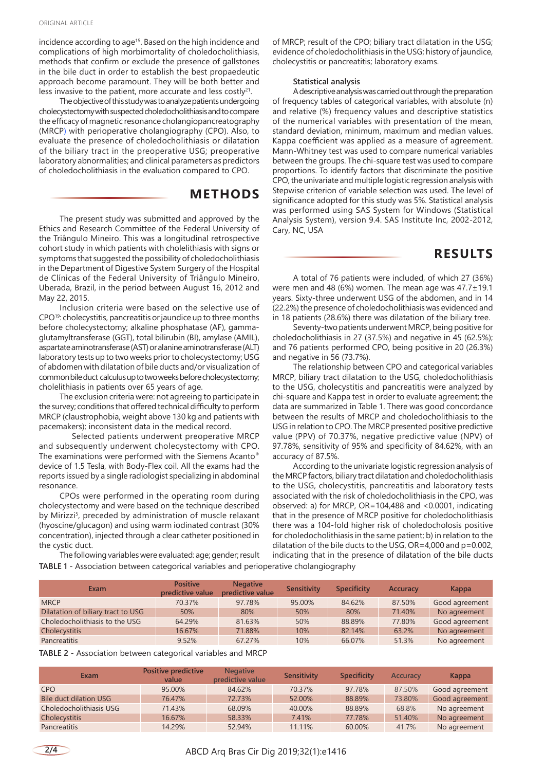incidence according to age<sup>15</sup>. Based on the high incidence and complications of high morbimortality of choledocholithiasis, methods that confirm or exclude the presence of gallstones in the bile duct in order to establish the best propaedeutic approach become paramount. They will be both better and less invasive to the patient, more accurate and less costly<sup>21</sup>.

The objective of this study was to analyze patients undergoing cholecystectomy with suspected choledocholithiasis and to compare the efficacy of magnetic resonance cholangiopancreatography (MRCP) with perioperative cholangiography (CPO). Also, to evaluate the presence of choledocholithiasis or dilatation of the biliary tract in the preoperative USG; preoperative laboratory abnormalities; and clinical parameters as predictors of choledocholithiasis in the evaluation compared to CPO.

### **METHODS**

The present study was submitted and approved by the Ethics and Research Committee of the Federal University of the Triângulo Mineiro. This was a longitudinal retrospective cohort study in which patients with cholelithiasis with signs or symptoms that suggested the possibility of choledocholithiasis in the Department of Digestive System Surgery of the Hospital de Clínicas of the Federal University of Triângulo Mineiro, Uberada, Brazil, in the period between August 16, 2012 and May 22, 2015.

Inclusion criteria were based on the selective use of CPO19: cholecystitis, pancreatitis or jaundice up to three months before cholecystectomy; alkaline phosphatase (AF), gammaglutamyltransferase (GGT), total bilirubin (BI), amylase (AMIL), aspartate aminotransferase (AST) or alanine aminotransferase (ALT) laboratory tests up to two weeks prior to cholecystectomy; USG of abdomen with dilatation of bile ducts and/or visualization of common bile duct calculus up to two weeks before cholecystectomy; cholelithiasis in patients over 65 years of age.

The exclusion criteria were: not agreeing to participate in the survey; conditions that offered technical difficulty to perform MRCP (claustrophobia, weight above 130 kg and patients with pacemakers); inconsistent data in the medical record.

Selected patients underwent preoperative MRCP and subsequently underwent cholecystectomy with CPO. The examinations were performed with the Siemens Acanto® device of 1.5 Tesla, with Body-Flex coil. All the exams had the reports issued by a single radiologist specializing in abdominal resonance.

CPOs were performed in the operating room during cholecystectomy and were based on the technique described by Mirizzi<sup>5</sup>, preceded by administration of muscle relaxant (hyoscine/glucagon) and using warm iodinated contrast (30% concentration), injected through a clear catheter positioned in the cystic duct.

of MRCP; result of the CPO; biliary tract dilatation in the USG; evidence of choledocholithiasis in the USG; history of jaundice, cholecystitis or pancreatitis; laboratory exams.

#### **Statistical analysis**

A descriptive analysis was carried out through the preparation of frequency tables of categorical variables, with absolute (n) and relative (%) frequency values and descriptive statistics of the numerical variables with presentation of the mean, standard deviation, minimum, maximum and median values. Kappa coefficient was applied as a measure of agreement. Mann-Whitney test was used to compare numerical variables between the groups. The chi-square test was used to compare proportions. To identify factors that discriminate the positive CPO, the univariate and multiple logistic regression analysis with Stepwise criterion of variable selection was used. The level of significance adopted for this study was 5%. Statistical analysis was performed using SAS System for Windows (Statistical Analysis System), version 9.4. SAS Institute Inc, 2002-2012, Cary, NC, USA

### **RESULTS**

A total of 76 patients were included, of which 27 (36%) were men and 48 (6%) women. The mean age was 47.7±19.1 years. Sixty-three underwent USG of the abdomen, and in 14 (22.2%) the presence of choledocholithiasis was evidenced and in 18 patients (28.6%) there was dilatation of the biliary tree.

Seventy-two patients underwent MRCP, being positive for choledocholithiasis in 27 (37.5%) and negative in 45 (62.5%); and 76 patients performed CPO, being positive in 20 (26.3%) and negative in 56 (73.7%).

The relationship between CPO and categorical variables MRCP, biliary tract dilatation to the USG, choledocholithiasis to the USG, cholecystitis and pancreatitis were analyzed by chi-square and Kappa test in order to evaluate agreement; the data are summarized in Table 1. There was good concordance between the results of MRCP and choledocholithiasis to the USG in relation to CPO. The MRCP presented positive predictive value (PPV) of 70.37%, negative predictive value (NPV) of 97.78%, sensitivity of 95% and specificity of 84.62%, with an accuracy of 87.5%.

According to the univariate logistic regression analysis of the MRCP factors, biliary tract dilatation and choledocholithiasis to the USG, cholecystitis, pancreatitis and laboratory tests associated with the risk of choledocholithiasis in the CPO, was observed: a) for MRCP, OR=104,488 and <0.0001, indicating that in the presence of MRCP positive for choledocholithiasis there was a 104-fold higher risk of choledocholosis positive for choledocholithiasis in the same patient; b) in relation to the dilatation of the bile ducts to the USG, OR=4,000 and p=0.002, indicating that in the presence of dilatation of the bile ducts

The following variables were evaluated: age; gender; result **TABLE 1** - Association between categorical variables and perioperative cholangiography

| Exam                               | <b>Positive</b><br>predictive value | <b>Negative</b><br>predictive value | Sensitivity | <b>Specificity</b> | Accuracy | Kappa          |
|------------------------------------|-------------------------------------|-------------------------------------|-------------|--------------------|----------|----------------|
| <b>MRCP</b>                        | 70.37%                              | 97.78%                              | 95.00%      | 84.62%             | 87.50%   | Good agreement |
| Dilatation of biliary tract to USG | 50%                                 | 80%                                 | 50%         | 80%                | 71.40%   | No agreement   |
| Choledocholithiasis to the USG     | 64.29%                              | 81.63%                              | 50%         | 88.89%             | 77.80%   | Good agreement |
| Cholecystitis                      | 16.67%                              | 71.88%                              | 10%         | 82.14%             | 63.2%    | No agreement   |
| Pancreatitis                       | 9.52%                               | 67.27%                              | 10%         | 66.07%             | 51.3%    | No agreement   |

| <b>TABLE 2</b> - Association between categorical variables and MRCP |  |  |  |
|---------------------------------------------------------------------|--|--|--|
|                                                                     |  |  |  |

| Exam                    | Positive predictive<br>value | <b>Negative</b><br>predictive value | Sensitivity | <b>Specificity</b> | Accuracy | Kappa          |
|-------------------------|------------------------------|-------------------------------------|-------------|--------------------|----------|----------------|
| <b>CPO</b>              | 95.00%                       | 84.62%                              | 70.37%      | 97.78%             | 87.50%   | Good agreement |
| Bile duct dilation USG  | 76.47%                       | 72.73%                              | 52.00%      | 88.89%             | 73.80%   | Good agreement |
| Choledocholithiasis USG | 71.43%                       | 68.09%                              | 40.00%      | 88.89%             | 68.8%    | No agreement   |
| Cholecystitis           | 16.67%                       | 58.33%                              | 7.41%       | 77.78%             | 51.40%   | No agreement   |
| Pancreatitis            | 14.29%                       | 52.94%                              | 11.11%      | 60.00%             | 41.7%    | No agreement   |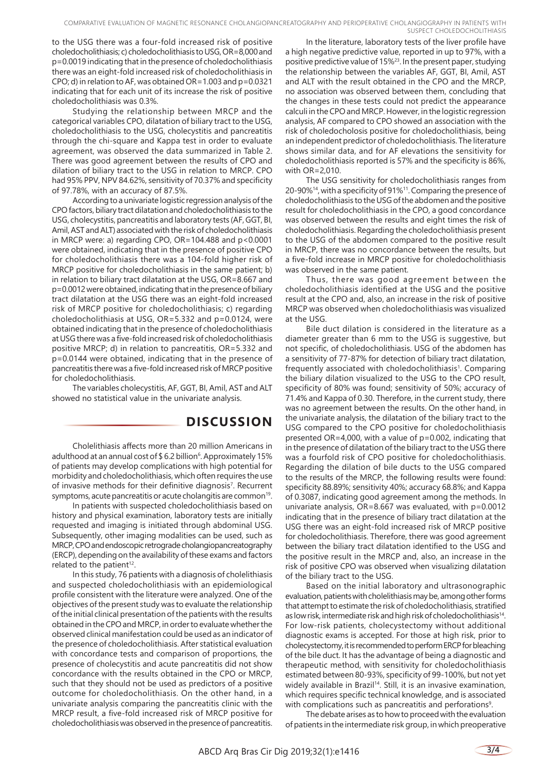COMPARATIVE EVALUATION OF MAGNETIC RESONANCE CHOLANGIOPANCREATOGRAPHY AND PERIOPERATIVE CHOLANGIOGRAPHY IN PATIENTS WITH SUSPECT CHOLEDOCHOLITHIASIS

to the USG there was a four-fold increased risk of positive choledocholithiasis; c) choledocholithiasis to USG, OR=8,000 and p=0.0019 indicating that in the presence of choledocholithiasis there was an eight-fold increased risk of choledocholithiasis in CPO; d) in relation to AF, was obtained OR=1.003 and p=0.0321 indicating that for each unit of its increase the risk of positive choledocholithiasis was 0.3%.

Studying the relationship between MRCP and the categorical variables CPO, dilatation of biliary tract to the USG, choledocholithiasis to the USG, cholecystitis and pancreatitis through the chi-square and Kappa test in order to evaluate agreement, was observed the data summarized in Table 2. There was good agreement between the results of CPO and dilation of biliary tract to the USG in relation to MRCP. CPO had 95% PPV, NPV 84.62%, sensitivity of 70.37% and specificity of 97.78%, with an accuracy of 87.5%.

According to a univariate logistic regression analysis of the CPO factors, biliary tract dilatation and choledocholithiasis to the USG, cholecystitis, pancreatitis and laboratory tests (AF, GGT, BI, Amil, AST and ALT) associated with the risk of choledocholithiasis in MRCP were: a) regarding CPO,  $OR=104.488$  and  $p < 0.0001$ were obtained, indicating that in the presence of positive CPO for choledocholithiasis there was a 104-fold higher risk of MRCP positive for choledocholithiasis in the same patient; b) in relation to biliary tract dilatation at the USG, OR=8.667 and p=0.0012 were obtained, indicating that in the presence of biliary tract dilatation at the USG there was an eight-fold increased risk of MRCP positive for choledocholithiasis; c) regarding choledocholithiasis at USG, OR=5.332 and p=0.0124, were obtained indicating that in the presence of choledocholithiasis at USG there was a five-fold increased risk of choledocholithiasis positive MRCP; d) in relation to pancreatitis, OR=5.332 and p=0.0144 were obtained, indicating that in the presence of pancreatitis there was a five-fold increased risk of MRCP positive for choledocholithiasis.

The variables cholecystitis, AF, GGT, BI, Amil, AST and ALT showed no statistical value in the univariate analysis.

## **DISCUSSION**

Cholelithiasis affects more than 20 million Americans in adulthood at an annual cost of \$ 6.2 billion<sup>6</sup>. Approximately 15% of patients may develop complications with high potential for morbidity and choledocholithiasis, which often requires the use of invasive methods for their definitive diagnosis<sup>7</sup>. Recurrent symptoms, acute pancreatitis or acute cholangitis are common<sup>19</sup>.

In patients with suspected choledocholithiasis based on history and physical examination, laboratory tests are initially requested and imaging is initiated through abdominal USG. Subsequently, other imaging modalities can be used, such as MRCP, CPO and endoscopic retrograde cholangiopancreatography (ERCP), depending on the availability of these exams and factors related to the patient<sup>12</sup>.

In this study, 76 patients with a diagnosis of cholelithiasis and suspected choledocholithiasis with an epidemiological profile consistent with the literature were analyzed. One of the objectives of the present study was to evaluate the relationship of the initial clinical presentation of the patients with the results obtained in the CPO and MRCP, in order to evaluate whether the observed clinical manifestation could be used as an indicator of the presence of choledocholithiasis. After statistical evaluation with concordance tests and comparison of proportions, the presence of cholecystitis and acute pancreatitis did not show concordance with the results obtained in the CPO or MRCP, such that they should not be used as predictors of a positive outcome for choledocholithiasis. On the other hand, in a univariate analysis comparing the pancreatitis clinic with the MRCP result, a five-fold increased risk of MRCP positive for choledocholithiasis was observed in the presence of pancreatitis.

In the literature, laboratory tests of the liver profile have a high negative predictive value, reported in up to 97%, with a positive predictive value of 15%23. In the present paper, studying the relationship between the variables AF, GGT, BI, Amil, AST and ALT with the result obtained in the CPO and the MRCP, no association was observed between them, concluding that the changes in these tests could not predict the appearance calculi in the CPO and MRCP. However, in the logistic regression analysis, AF compared to CPO showed an association with the risk of choledocholosis positive for choledocholithiasis, being an independent predictor of choledocholithiasis. The literature shows similar data, and for AF elevations the sensitivity for choledocholithiasis reported is 57% and the specificity is 86%, with OR=2,010.

The USG sensitivity for choledocholithiasis ranges from 20-90%14, with a specificity of 91%11. Comparing the presence of choledocholithiasis to the USG of the abdomen and the positive result for choledocholithiasis in the CPO, a good concordance was observed between the results and eight times the risk of choledocholithiasis. Regarding the choledocholithiasis present to the USG of the abdomen compared to the positive result in MRCP, there was no concordance between the results, but a five-fold increase in MRCP positive for choledocholithiasis was observed in the same patient.

Thus, there was good agreement between the choledocholithiasis identified at the USG and the positive result at the CPO and, also, an increase in the risk of positive MRCP was observed when choledocholithiasis was visualized at the USG.

Bile duct dilation is considered in the literature as a diameter greater than 6 mm to the USG is suggestive, but not specific, of choledocholithiasis. USG of the abdomen has a sensitivity of 77-87% for detection of biliary tract dilatation, frequently associated with choledocholithiasis<sup>1</sup>. Comparing the biliary dilation visualized to the USG to the CPO result, specificity of 80% was found; sensitivity of 50%; accuracy of 71.4% and Kappa of 0.30. Therefore, in the current study, there was no agreement between the results. On the other hand, in the univariate analysis, the dilatation of the biliary tract to the USG compared to the CPO positive for choledocholithiasis presented OR=4,000, with a value of p=0.002, indicating that in the presence of dilatation of the biliary tract to the USG there was a fourfold risk of CPO positive for choledocholithiasis. Regarding the dilation of bile ducts to the USG compared to the results of the MRCP, the following results were found: specificity 88.89%; sensitivity 40%; accuracy 68.8%; and Kappa of 0.3087, indicating good agreement among the methods. In univariate analysis, OR=8.667 was evaluated, with p=0.0012 indicating that in the presence of biliary tract dilatation at the USG there was an eight-fold increased risk of MRCP positive for choledocholithiasis. Therefore, there was good agreement between the biliary tract dilatation identified to the USG and the positive result in the MRCP and, also, an increase in the risk of positive CPO was observed when visualizing dilatation of the biliary tract to the USG.

Based on the initial laboratory and ultrasonographic evaluation, patients with cholelithiasis may be, among other forms that attempt to estimate the risk of choledocholithiasis, stratified as low risk, intermediate risk and high risk of choledocholithiasis<sup>14</sup>. For low-risk patients, cholecystectomy without additional diagnostic exams is accepted. For those at high risk, prior to cholecystectomy, it is recommended to perform ERCP for bleaching of the bile duct. It has the advantage of being a diagnostic and therapeutic method, with sensitivity for choledocholithiasis estimated between 80-93%, specificity of 99-100%, but not yet widely available in Brazil<sup>14</sup>. Still, it is an invasive examination, which requires specific technical knowledge, and is associated with complications such as pancreatitis and perforations<sup>9</sup>.

The debate arises as to how to proceed with the evaluation of patients in the intermediate risk group, in which preoperative